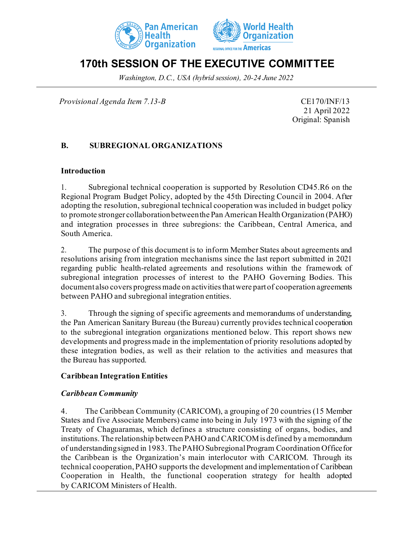



# **170th SESSION OF THE EXECUTIVE COMMITTEE**

*Washington, D.C., USA (hybrid session), 20-24 June 2022*

*Provisional Agenda Item 7.13-B* CE170/INF/13

21 April 2022 Original: Spanish

## **B. SUBREGIONAL ORGANIZATIONS**

#### **Introduction**

1. Subregional technical cooperation is supported by Resolution CD45.R6 on the Regional Program Budget Policy, adopted by the 45th Directing Council in 2004. After adopting the resolution, subregional technical cooperation was included in budget policy to promote stronger collaboration between the Pan American Health Organization (PAHO) and integration processes in three subregions: the Caribbean, Central America, and South America.

2. The purpose of this document is to inform Member States about agreements and resolutions arising from integration mechanisms since the last report submitted in 2021 regarding public health-related agreements and resolutions within the framework of subregional integration processes of interest to the PAHO Governing Bodies. This document also covers progress made on activities that were part of cooperation agreements between PAHO and subregional integration entities.

3. Through the signing of specific agreements and memorandums of understanding, the Pan American Sanitary Bureau (the Bureau) currently provides technical cooperation to the subregional integration organizations mentioned below. This report shows new developments and progress made in the implementation of priority resolutions adopted by these integration bodies, as well as their relation to the activities and measures that the Bureau has supported.

## **Caribbean Integration Entities**

#### *Caribbean Community*

4. The Caribbean Community (CARICOM), a grouping of 20 countries (15 Member States and five Associate Members) came into being in July 1973 with the signing of the Treaty of Chaguaramas, which defines a structure consisting of organs, bodies, and institutions. The relationship between PAHO and CARICOM is defined by a memorandum of understanding signed in 1983. The PAHO Subregional Program Coordination Office for the Caribbean is the Organization's main interlocutor with CARICOM. Through its technical cooperation, PAHO supports the development and implementation of Caribbean Cooperation in Health, the functional cooperation strategy for health adopted by CARICOM Ministers of Health.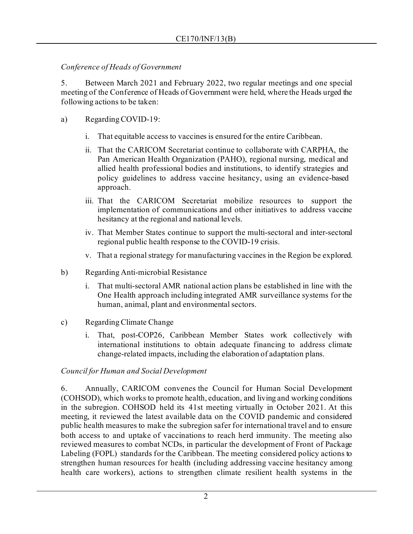## *Conference of Heads of Government*

5. Between March 2021 and February 2022, two regular meetings and one special meeting of the Conference of Heads of Government were held, where the Heads urged the following actions to be taken:

## a) Regarding COVID-19:

- i. That equitable access to vaccines is ensured for the entire Caribbean.
- ii. That the CARICOM Secretariat continue to collaborate with CARPHA, the Pan American Health Organization (PAHO), regional nursing, medical and allied health professional bodies and institutions, to identify strategies and policy guidelines to address vaccine hesitancy, using an evidence-based approach.
- iii. That the CARICOM Secretariat mobilize resources to support the implementation of communications and other initiatives to address vaccine hesitancy at the regional and national levels.
- iv. That Member States continue to support the multi-sectoral and inter-sectoral regional public health response to the COVID-19 crisis.
- v. That a regional strategy for manufacturing vaccines in the Region be explored.
- b) Regarding Anti-microbial Resistance
	- i. That multi-sectoral AMR national action plans be established in line with the One Health approach including integrated AMR surveillance systems for the human, animal, plant and environmental sectors.
- c) Regarding Climate Change
	- i. That, post-COP26, Caribbean Member States work collectively with international institutions to obtain adequate financing to address climate change-related impacts, including the elaboration of adaptation plans.

# *Council for Human and Social Development*

6. Annually, CARICOM convenes the Council for Human Social Development (COHSOD), which works to promote health, education, and living and working conditions in the subregion. COHSOD held its 41st meeting virtually in October 2021. At this meeting, it reviewed the latest available data on the COVID pandemic and considered public health measures to make the subregion safer for international travel and to ensure both access to and uptake of vaccinations to reach herd immunity. The meeting also reviewed measures to combat NCDs, in particular the development of Front of Package Labeling (FOPL) standards for the Caribbean. The meeting considered policy actions to strengthen human resources for health (including addressing vaccine hesitancy among health care workers), actions to strengthen climate resilient health systems in the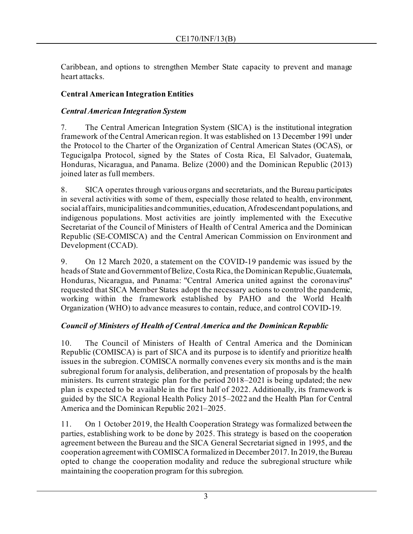Caribbean, and options to strengthen Member State capacity to prevent and manage heart attacks.

## **Central American Integration Entities**

## *Central American Integration System*

7. The Central American Integration System (SICA) is the institutional integration framework of the Central American region. It was established on 13 December 1991 under the Protocol to the Charter of the Organization of Central American States (OCAS), or Tegucigalpa Protocol, signed by the States of Costa Rica, El Salvador, Guatemala, Honduras, Nicaragua, and Panama. Belize (2000) and the Dominican Republic (2013) joined later as full members.

8. SICA operates through various organs and secretariats, and the Bureau participates in several activities with some of them, especially those related to health, environment, social affairs, municipalities and communities, education, Afrodescendant populations, and indigenous populations. Most activities are jointly implemented with the Executive Secretariat of the Council of Ministers of Health of Central America and the Dominican Republic (SE-COMISCA) and the Central American Commission on Environment and Development (CCAD).

9. On 12 March 2020, a statement on the COVID-19 pandemic was issued by the heads of State and Government of Belize, Costa Rica, the Dominican Republic, Guatemala, Honduras, Nicaragua, and Panama: "Central America united against the coronavirus" requested that SICA Member States adopt the necessary actions to control the pandemic, working within the framework established by PAHO and the World Health Organization (WHO) to advance measures to contain, reduce, and control COVID-19.

## *Council of Ministers of Health of Central America and the Dominican Republic*

10. The Council of Ministers of Health of Central America and the Dominican Republic (COMISCA) is part of SICA and its purpose is to identify and prioritize health issues in the subregion. COMISCA normally convenes every six months and is the main subregional forum for analysis, deliberation, and presentation of proposals by the health ministers. Its current strategic plan for the period 2018–2021 is being updated; the new plan is expected to be available in the first half of 2022. Additionally, its framework is guided by the SICA Regional Health Policy 2015–2022 and the Health Plan for Central America and the Dominican Republic 2021–2025.

11. On 1 October 2019, the Health Cooperation Strategy was formalized between the parties, establishing work to be done by 2025. This strategy is based on the cooperation agreement between the Bureau and the SICA General Secretariat signed in 1995, and the cooperation agreement with COMISCA formalized in December 2017. In 2019, the Bureau opted to change the cooperation modality and reduce the subregional structure while maintaining the cooperation program for this subregion.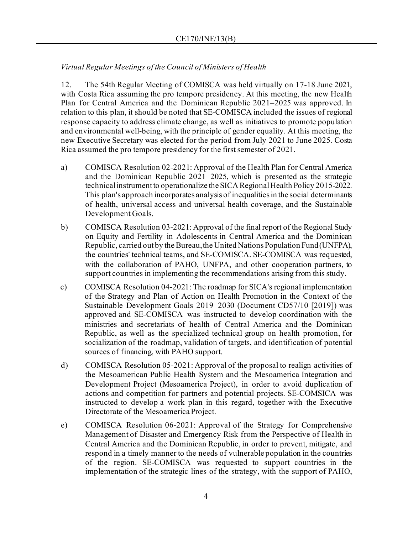## *Virtual Regular Meetings of the Council of Ministers of Health*

12. The 54th Regular Meeting of COMISCA was held virtually on 17-18 June 2021, with Costa Rica assuming the pro tempore presidency. At this meeting, the new Health Plan for Central America and the Dominican Republic 2021–2025 was approved. In relation to this plan, it should be noted that SE-COMISCA included the issues of regional response capacity to address climate change, as well as initiatives to promote population and environmental well-being, with the principle of gender equality. At this meeting, the new Executive Secretary was elected for the period from July 2021 to June 2025. Costa Rica assumed the pro tempore presidency for the first semester of 2021.

- a) COMISCA Resolution 02-2021: Approval of the Health Plan for Central America and the Dominican Republic 2021–2025, which is presented as the strategic technical instrument to operationalize the SICA Regional Health Policy 2015-2022. This plan's approach incorporates analysis of inequalities in the social determinants of health, universal access and universal health coverage, and the Sustainable Development Goals.
- b) COMISCA Resolution 03-2021: Approval of the final report of the Regional Study on Equity and Fertility in Adolescents in Central America and the Dominican Republic, carried out by the Bureau, the United Nations Population Fund (UNFPA), the countries' technical teams, and SE-COMISCA. SE-COMISCA was requested, with the collaboration of PAHO, UNFPA, and other cooperation partners, to support countries in implementing the recommendations arising from this study.
- c) COMISCA Resolution 04-2021: The roadmap for SICA's regional implementation of the Strategy and Plan of Action on Health Promotion in the Context of the Sustainable Development Goals 2019–2030 (Document CD57/10 [2019]) was approved and SE-COMISCA was instructed to develop coordination with the ministries and secretariats of health of Central America and the Dominican Republic, as well as the specialized technical group on health promotion, for socialization of the roadmap, validation of targets, and identification of potential sources of financing, with PAHO support.
- d) COMISCA Resolution 05-2021: Approval of the proposal to realign activities of the Mesoamerican Public Health System and the Mesoamerica Integration and Development Project (Mesoamerica Project), in order to avoid duplication of actions and competition for partners and potential projects. SE-COMSICA was instructed to develop a work plan in this regard, together with the Executive Directorate of the Mesoamerica Project.
- e) COMISCA Resolution 06-2021: Approval of the Strategy for Comprehensive Management of Disaster and Emergency Risk from the Perspective of Health in Central America and the Dominican Republic, in order to prevent, mitigate, and respond in a timely manner to the needs of vulnerable population in the countries of the region. SE-COMISCA was requested to support countries in the implementation of the strategic lines of the strategy, with the support of PAHO,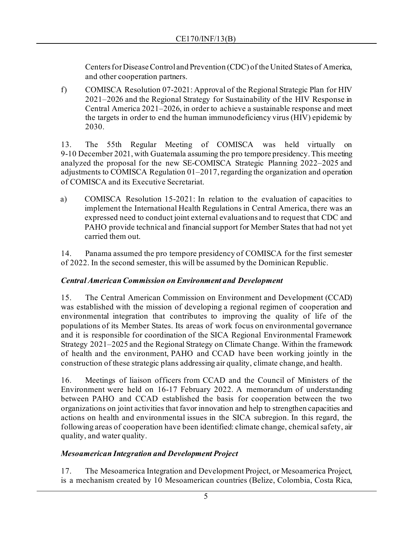Centers for Disease Control and Prevention (CDC) of the United States of America, and other cooperation partners.

f) COMISCA Resolution 07-2021: Approval of the Regional Strategic Plan for HIV 2021–2026 and the Regional Strategy for Sustainability of the HIV Response in Central America 2021–2026, in order to achieve a sustainable response and meet the targets in order to end the human immunodeficiency virus (HIV) epidemic by 2030.

13. The 55th Regular Meeting of COMISCA was held virtually on 9-10 December 2021, with Guatemala assuming the pro tempore presidency. This meeting analyzed the proposal for the new SE-COMISCA Strategic Planning 2022–2025 and adjustments to COMISCA Regulation 01–2017, regarding the organization and operation of COMISCA and its Executive Secretariat.

a) COMISCA Resolution 15-2021: In relation to the evaluation of capacities to implement the International Health Regulations in Central America, there was an expressed need to conduct joint external evaluations and to request that CDC and PAHO provide technical and financial support for Member States that had not yet carried them out.

14. Panama assumed the pro tempore presidency of COMISCA for the first semester of 2022. In the second semester, this will be assumed by the Dominican Republic.

## *Central American Commission on Environment and Development*

15. The Central American Commission on Environment and Development (CCAD) was established with the mission of developing a regional regimen of cooperation and environmental integration that contributes to improving the quality of life of the populations of its Member States. Its areas of work focus on environmental governance and it is responsible for coordination of the SICA Regional Environmental Framework Strategy 2021–2025 and the Regional Strategy on Climate Change. Within the framework of health and the environment, PAHO and CCAD have been working jointly in the construction of these strategic plans addressing air quality, climate change, and health.

16. Meetings of liaison officers from CCAD and the Council of Ministers of the Environment were held on 16-17 February 2022. A memorandum of understanding between PAHO and CCAD established the basis for cooperation between the two organizations on joint activities that favor innovation and help to strengthen capacities and actions on health and environmental issues in the SICA subregion. In this regard, the following areas of cooperation have been identified: climate change, chemical safety, air quality, and water quality.

# *Mesoamerican Integration and Development Project*

17. The Mesoamerica Integration and Development Project, or Mesoamerica Project, is a mechanism created by 10 Mesoamerican countries (Belize, Colombia, Costa Rica,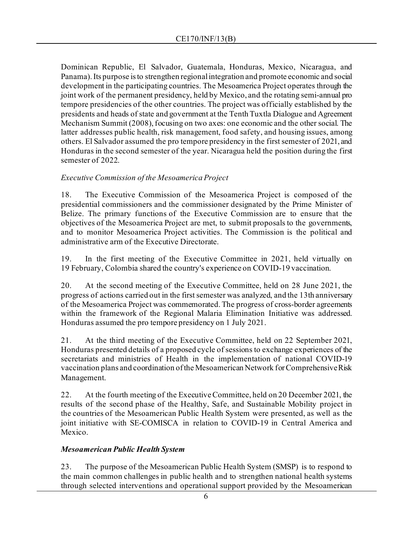Dominican Republic, El Salvador, Guatemala, Honduras, Mexico, Nicaragua, and Panama). Its purpose is to strengthen regional integration and promote economic and social development in the participating countries. The Mesoamerica Project operates through the joint work of the permanent presidency, held by Mexico, and the rotating semi-annual pro tempore presidencies of the other countries. The project was officially established by the presidents and heads of state and government at the Tenth Tuxtla Dialogue and Agreement Mechanism Summit (2008), focusing on two axes: one economic and the other social. The latter addresses public health, risk management, food safety, and housing issues, among others. El Salvador assumed the pro tempore presidency in the first semester of 2021, and Honduras in the second semester of the year. Nicaragua held the position during the first semester of 2022.

### *Executive Commission of the Mesoamerica Project*

18. The Executive Commission of the Mesoamerica Project is composed of the presidential commissioners and the commissioner designated by the Prime Minister of Belize. The primary functions of the Executive Commission are to ensure that the objectives of the Mesoamerica Project are met, to submit proposals to the governments, and to monitor Mesoamerica Project activities. The Commission is the political and administrative arm of the Executive Directorate.

19. In the first meeting of the Executive Committee in 2021, held virtually on 19 February, Colombia shared the country's experience on COVID-19 vaccination.

20. At the second meeting of the Executive Committee, held on 28 June 2021, the progress of actions carried out in the first semester was analyzed, and the 13th anniversary of the Mesoamerica Project was commemorated. The progress of cross-border agreements within the framework of the Regional Malaria Elimination Initiative was addressed. Honduras assumed the pro tempore presidency on 1 July 2021.

21. At the third meeting of the Executive Committee, held on 22 September 2021, Honduras presented details of a proposed cycle of sessions to exchange experiences of the secretariats and ministries of Health in the implementation of national COVID-19 vaccination plans and coordination of the Mesoamerican Network for Comprehensive Risk Management.

22. At the fourth meeting of the Executive Committee, held on 20 December 2021, the results of the second phase of the Healthy, Safe, and Sustainable Mobility project in the countries of the Mesoamerican Public Health System were presented, as well as the joint initiative with SE-COMISCA in relation to COVID-19 in Central America and Mexico.

## *Mesoamerican Public Health System*

23. The purpose of the Mesoamerican Public Health System (SMSP) is to respond to the main common challenges in public health and to strengthen national health systems through selected interventions and operational support provided by the Mesoamerican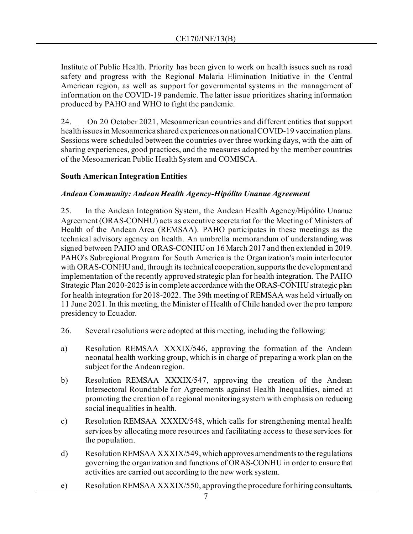Institute of Public Health. Priority has been given to work on health issues such as road safety and progress with the Regional Malaria Elimination Initiative in the Central American region, as well as support for governmental systems in the management of information on the COVID-19 pandemic. The latter issue prioritizes sharing information produced by PAHO and WHO to fight the pandemic.

24. On 20 October 2021, Mesoamerican countries and different entities that support health issues in Mesoamerica shared experiences on nationalCOVID-19 vaccination plans. Sessions were scheduled between the countries over three working days, with the aim of sharing experiences, good practices, and the measures adopted by the member countries of the Mesoamerican Public Health System and COMISCA.

### **South American Integration Entities**

### *Andean Community: Andean Health Agency-Hipólito Unanue Agreement*

25. In the Andean Integration System, the Andean Health Agency/Hipólito Unanue Agreement (ORAS-CONHU) acts as executive secretariat for the Meeting of Ministers of Health of the Andean Area (REMSAA). PAHO participates in these meetings as the technical advisory agency on health. An umbrella memorandum of understanding was signed between PAHO and ORAS-CONHU on 16 March 2017 and then extended in 2019. PAHO's Subregional Program for South America is the Organization's main interlocutor with ORAS-CONHU and, through its technical cooperation, supports the development and implementation of the recently approved strategic plan for health integration. The PAHO Strategic Plan 2020-2025 is in complete accordance with the ORAS-CONHU strategic plan for health integration for 2018-2022. The 39th meeting of REMSAA was held virtually on 11 June 2021. In this meeting, the Minister of Health of Chile handed over the pro tempore presidency to Ecuador.

- 26. Several resolutions were adopted at this meeting, including the following:
- a) Resolution REMSAA XXXIX/546, approving the formation of the Andean neonatal health working group, which is in charge of preparing a work plan on the subject for the Andean region.
- b) Resolution REMSAA XXXIX/547, approving the creation of the Andean Intersectoral Roundtable for Agreements against Health Inequalities, aimed at promoting the creation of a regional monitoring system with emphasis on reducing social inequalities in health.
- c) Resolution REMSAA XXXIX/548, which calls for strengthening mental health services by allocating more resources and facilitating access to these services for the population.
- d) Resolution REMSAA XXXIX/549, which approves amendments to the regulations governing the organization and functions of ORAS-CONHU in order to ensure that activities are carried out according to the new work system.
- e) Resolution REMSAA XXXIX/550, approving the procedure for hiring consultants.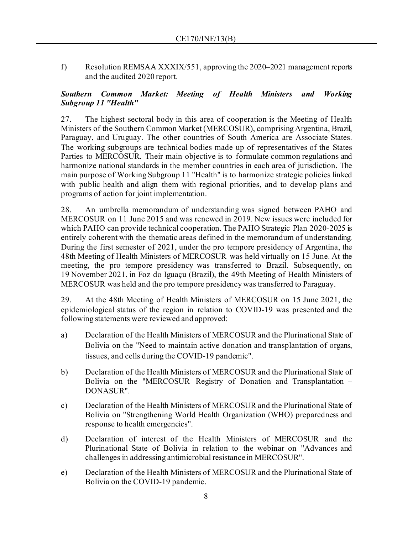f) Resolution REMSAA XXXIX/551, approving the 2020–2021 management reports and the audited 2020 report.

#### *Southern Common Market: Meeting of Health Ministers and Working Subgroup 11 "Health"*

27. The highest sectoral body in this area of cooperation is the Meeting of Health Ministers of the Southern Common Market (MERCOSUR), comprising Argentina, Brazil, Paraguay, and Uruguay. The other countries of South America are Associate States. The working subgroups are technical bodies made up of representatives of the States Parties to MERCOSUR. Their main objective is to formulate common regulations and harmonize national standards in the member countries in each area of jurisdiction. The main purpose of Working Subgroup 11 "Health" is to harmonize strategic policies linked with public health and align them with regional priorities, and to develop plans and programs of action for joint implementation.

28. An umbrella memorandum of understanding was signed between PAHO and MERCOSUR on 11 June 2015 and was renewed in 2019. New issues were included for which PAHO can provide technical cooperation. The PAHO Strategic Plan 2020-2025 is entirely coherent with the thematic areas defined in the memorandum of understanding. During the first semester of 2021, under the pro tempore presidency of Argentina, the 48th Meeting of Health Ministers of MERCOSUR was held virtually on 15 June. At the meeting, the pro tempore presidency was transferred to Brazil. Subsequently, on 19 November 2021, in Foz do Iguaçu (Brazil), the 49th Meeting of Health Ministers of MERCOSUR was held and the pro tempore presidency was transferred to Paraguay.

29. At the 48th Meeting of Health Ministers of MERCOSUR on 15 June 2021, the epidemiological status of the region in relation to COVID-19 was presented and the following statements were reviewed and approved:

- a) Declaration of the Health Ministers of MERCOSUR and the Plurinational State of Bolivia on the "Need to maintain active donation and transplantation of organs, tissues, and cells during the COVID-19 pandemic".
- b) Declaration of the Health Ministers of MERCOSUR and the Plurinational State of Bolivia on the "MERCOSUR Registry of Donation and Transplantation – DONASUR".
- c) Declaration of the Health Ministers of MERCOSUR and the Plurinational State of Bolivia on "Strengthening World Health Organization (WHO) preparedness and response to health emergencies".
- d) Declaration of interest of the Health Ministers of MERCOSUR and the Plurinational State of Bolivia in relation to the webinar on "Advances and challenges in addressing antimicrobial resistance in MERCOSUR".
- e) Declaration of the Health Ministers of MERCOSUR and the Plurinational State of Bolivia on the COVID-19 pandemic.